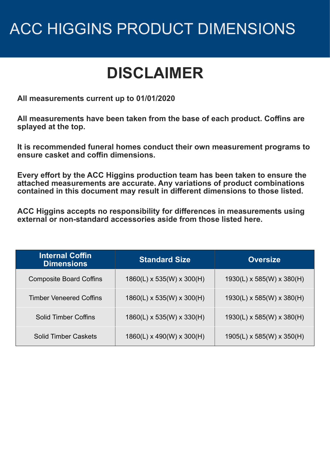#### **DISCLAIMER**

**All measurements current up to 01/01/2020**

**All measurements have been taken from the base of each product. Coffins are splayed at the top.**

**It is recommended funeral homes conduct their own measurement programs to ensure casket and coffin dimensions.**

**Every effort by the ACC Higgins production team has been taken to ensure the attached measurements are accurate. Any variations of product combinations contained in this document may result in different dimensions to those listed.**

**ACC Higgins accepts no responsibility for differences in measurements using external or non-standard accessories aside from those listed here.**

| <b>Internal Coffin</b><br><b>Dimensions</b> | <b>Standard Size</b>                  | <b>Oversize</b>                       |
|---------------------------------------------|---------------------------------------|---------------------------------------|
| <b>Composite Board Coffins</b>              | $1860(L) \times 535(W) \times 300(H)$ | $1930(L) \times 585(W) \times 380(H)$ |
| <b>Timber Veneered Coffins</b>              | $1860(L) \times 535(W) \times 300(H)$ | $1930(L) \times 585(W) \times 380(H)$ |
| <b>Solid Timber Coffins</b>                 | $1860(L) \times 535(W) \times 330(H)$ | $1930(L) \times 585(W) \times 380(H)$ |
| Solid Timber Caskets                        | $1860(L) \times 490(W) \times 300(H)$ | $1905(L) \times 585(W) \times 350(H)$ |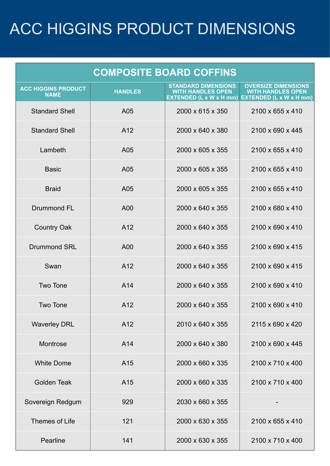| <b>COMPOSITE BOARD COFFINS</b>            |                 |                                                                                                           |                                                        |
|-------------------------------------------|-----------------|-----------------------------------------------------------------------------------------------------------|--------------------------------------------------------|
| <b>ACC HIGGINS PRODUCT</b><br><b>NAME</b> | <b>HANDLES</b>  | <b>STANDARD DIMENSIONS</b><br><b>WITH HANDLES OPEN</b><br>EXTENDED (L x W x H mm) EXTENDED (L x W x H mm) | <b>OVERSIZE DIMENSIONS</b><br><b>WITH HANDLES OPEN</b> |
| <b>Standard Shell</b>                     | A05             | 2000 x 615 x 350                                                                                          | 2100 x 655 x 410                                       |
| <b>Standard Shell</b>                     | A <sub>12</sub> | 2000 x 640 x 380                                                                                          | 2100 x 690 x 445                                       |
| Lambeth                                   | A05             | 2000 x 605 x 355                                                                                          | 2100 x 655 x 410                                       |
| <b>Basic</b>                              | A05             | 2000 x 605 x 355                                                                                          | 2100 x 655 x 410                                       |
| <b>Braid</b>                              | A05             | 2000 x 605 x 355                                                                                          | 2100 x 655 x 410                                       |
| <b>Drummond FL</b>                        | A00             | 2000 x 640 x 355                                                                                          | 2100 x 680 x 410                                       |
| <b>Country Oak</b>                        | A12             | 2000 x 640 x 355                                                                                          | 2100 x 690 x 410                                       |
| <b>Drummond SRL</b>                       | A00             | 2000 x 640 x 355                                                                                          | 2100 x 690 x 415                                       |
| Swan                                      | A12             | 2000 x 640 x 355                                                                                          | 2100 x 690 x 415                                       |
| <b>Two Tone</b>                           | A14             | 2000 x 640 x 355                                                                                          | 2100 x 690 x 410                                       |
| <b>Two Tone</b>                           | A12             | 2000 x 640 x 355                                                                                          | 2100 x 690 x 410                                       |
| <b>Waverley DRL</b>                       | A12             | 2010 x 640 x 355                                                                                          | 2115 x 690 x 420                                       |
| Montrose                                  | A14             | 2000 x 640 x 380                                                                                          | 2100 x 690 x 445                                       |
| <b>White Dome</b>                         | A <sub>15</sub> | 2000 x 660 x 335                                                                                          | 2100 x 710 x 400                                       |
| <b>Golden Teak</b>                        | A15             | 2000 x 660 x 335                                                                                          | 2100 x 710 x 400                                       |
| Sovereign Redgum                          | 929             | 2030 x 660 x 355                                                                                          |                                                        |
| Themes of Life                            | 121             | 2000 x 630 x 355                                                                                          | 2100 x 655 x 410                                       |
| Pearline                                  | 141             | 2000 x 630 x 355                                                                                          | 2100 x 710 x 400                                       |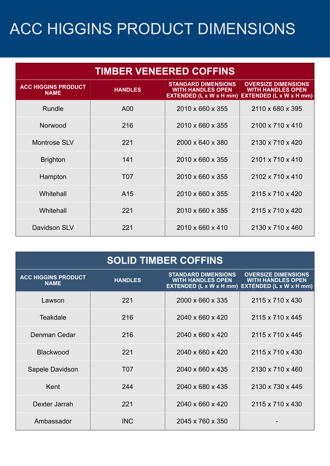| <b>TIMBER VENEERED COFFINS</b>            |                  |                                                                                   |                                                                                          |
|-------------------------------------------|------------------|-----------------------------------------------------------------------------------|------------------------------------------------------------------------------------------|
| <b>ACC HIGGINS PRODUCT</b><br><b>NAME</b> | <b>HANDLES</b>   | <b>STANDARD DIMENSIONS</b><br><b>WITH HANDLES OPEN</b><br>EXTENDED (L x W x H mm) | <b>OVERSIZE DIMENSIONS</b><br><b>WITH HANDLES OPEN</b><br><b>EXTENDED (L x W x H mm)</b> |
| Rundle                                    | A00              | 2010 x 660 x 355                                                                  | 2110 x 680 x 395                                                                         |
| Norwood                                   | 216              | 2010 x 660 x 355                                                                  | 2100 x 710 x 410                                                                         |
| <b>Montrose SLV</b>                       | 221              | 2000 x 640 x 380                                                                  | 2130 x 710 x 420                                                                         |
| <b>Brighton</b>                           | 141              | 2010 x 660 x 355                                                                  | 2101 x 710 x 410                                                                         |
| Hampton                                   | T <sub>0</sub> 7 | 2010 x 660 x 355                                                                  | 2102 x 710 x 410                                                                         |
| Whitehall                                 | A <sub>15</sub>  | 2010 x 660 x 355                                                                  | 2115 x 710 x 420                                                                         |
| Whitehall                                 | 221              | 2010 x 660 x 355                                                                  | 2115 x 710 x 420                                                                         |
| Davidson SLV                              | 221              | 2010 x 660 x 410                                                                  | 2130 x 710 x 460                                                                         |

| <b>SOLID TIMBER COFFINS</b>               |                  |                                                        |                                                                                                           |
|-------------------------------------------|------------------|--------------------------------------------------------|-----------------------------------------------------------------------------------------------------------|
| <b>ACC HIGGINS PRODUCT</b><br><b>NAME</b> | <b>HANDLES</b>   | <b>STANDARD DIMENSIONS</b><br><b>WITH HANDLES OPEN</b> | <b>OVERSIZE DIMENSIONS</b><br><b>WITH HANDLES OPEN</b><br>EXTENDED (L x W x H mm) EXTENDED (L x W x H mm) |
| I awson                                   | 221              | 2000 x 660 x 335                                       | 2115 x 710 x 430                                                                                          |
| <b>Teakdale</b>                           | 216              | 2040 x 660 x 420                                       | 2115 x 710 x 445                                                                                          |
| Denman Cedar                              | 216              | 2040 x 660 x 420                                       | 2115 x 710 x 445                                                                                          |
| Blackwood                                 | 221              | 2040 x 660 x 420                                       | 2115 x 710 x 430                                                                                          |
| Sapele Davidson                           | T <sub>0</sub> 7 | 2040 x 660 x 435                                       | 2130 x 710 x 460                                                                                          |
| Kent                                      | 244              | 2040 x 680 x 435                                       | 2130 x 730 x 445                                                                                          |
| Dexter Jarrah                             | 221              | 2040 x 660 x 420                                       | 2115 x 710 x 430                                                                                          |
| Ambassador                                | <b>INC</b>       | 2045 x 760 x 350                                       |                                                                                                           |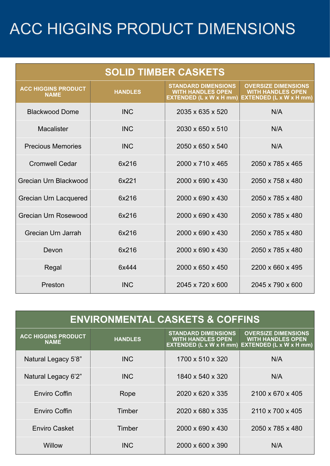| <b>SOLID TIMBER CASKETS</b>               |                |                                                                                          |                                                                                          |
|-------------------------------------------|----------------|------------------------------------------------------------------------------------------|------------------------------------------------------------------------------------------|
| <b>ACC HIGGINS PRODUCT</b><br><b>NAME</b> | <b>HANDLES</b> | <b>STANDARD DIMENSIONS</b><br><b>WITH HANDLES OPEN</b><br><b>EXTENDED (L x W x H mm)</b> | <b>OVERSIZE DIMENSIONS</b><br><b>WITH HANDLES OPEN</b><br><b>EXTENDED (L x W x H mm)</b> |
| <b>Blackwood Dome</b>                     | <b>INC</b>     | 2035 x 635 x 520                                                                         | N/A                                                                                      |
| Macalister                                | <b>INC</b>     | 2030 x 650 x 510                                                                         | N/A                                                                                      |
| <b>Precious Memories</b>                  | <b>INC</b>     | 2050 x 650 x 540                                                                         | N/A                                                                                      |
| <b>Cromwell Cedar</b>                     | 6x216          | 2000 x 710 x 465                                                                         | 2050 x 785 x 465                                                                         |
| Grecian Urn Blackwood                     | 6x221          | 2000 x 690 x 430                                                                         | 2050 x 758 x 480                                                                         |
| <b>Grecian Urn Lacquered</b>              | 6x216          | 2000 x 690 x 430                                                                         | 2050 x 785 x 480                                                                         |
| Grecian Urn Rosewood                      | 6x216          | 2000 x 690 x 430                                                                         | 2050 x 785 x 480                                                                         |
| Grecian Urn Jarrah                        | 6x216          | 2000 x 690 x 430                                                                         | 2050 x 785 x 480                                                                         |
| Devon                                     | 6x216          | 2000 x 690 x 430                                                                         | 2050 x 785 x 480                                                                         |
| Regal                                     | 6x444          | 2000 x 650 x 450                                                                         | 2200 x 660 x 495                                                                         |
| Preston                                   | <b>INC</b>     | 2045 x 720 x 600                                                                         | 2045 x 790 x 600                                                                         |

| <b>ENVIRONMENTAL CASKETS &amp; COFFINS</b> |                |                                                                                          |                                                                                          |
|--------------------------------------------|----------------|------------------------------------------------------------------------------------------|------------------------------------------------------------------------------------------|
| <b>ACC HIGGINS PRODUCT</b><br><b>NAME</b>  | <b>HANDLES</b> | <b>STANDARD DIMENSIONS</b><br><b>WITH HANDLES OPEN</b><br><b>EXTENDED (L x W x H mm)</b> | <b>OVERSIZE DIMENSIONS</b><br><b>WITH HANDLES OPEN</b><br><b>EXTENDED (L x W x H mm)</b> |
| Natural Legacy 5'8"                        | <b>INC</b>     | 1700 x 510 x 320                                                                         | N/A                                                                                      |
| Natural Legacy 6'2"                        | <b>INC</b>     | 1840 x 540 x 320                                                                         | N/A                                                                                      |
| <b>Enviro Coffin</b>                       | Rope           | 2020 x 620 x 335                                                                         | 2100 x 670 x 405                                                                         |
| <b>Enviro Coffin</b>                       | Timber         | 2020 x 680 x 335                                                                         | 2110 x 700 x 405                                                                         |
| <b>Enviro Casket</b>                       | Timber         | 2000 x 690 x 430                                                                         | 2050 x 785 x 480                                                                         |
| Willow                                     | <b>INC</b>     | 2000 x 600 x 390                                                                         | N/A                                                                                      |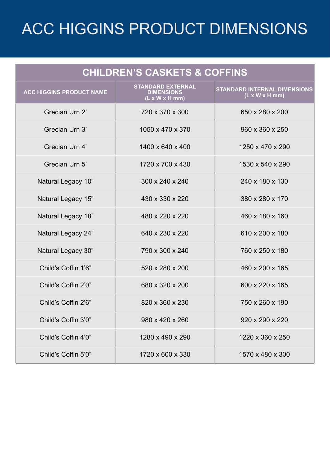| <b>CHILDREN'S CASKETS &amp; COFFINS</b> |                                                                 |                                                                           |  |
|-----------------------------------------|-----------------------------------------------------------------|---------------------------------------------------------------------------|--|
| <b>ACC HIGGINS PRODUCT NAME</b>         | <b>STANDARD EXTERNAL</b><br><b>DIMENSIONS</b><br>(L x W x H mm) | <b>STANDARD INTERNAL DIMENSIONS</b><br>$(L \times W \times H \text{ mm})$ |  |
| Grecian Urn 2'                          | 720 x 370 x 300                                                 | 650 x 280 x 200                                                           |  |
| Grecian Urn 3'                          | 1050 x 470 x 370                                                | 960 x 360 x 250                                                           |  |
| Grecian Urn 4'                          | 1400 x 640 x 400                                                | 1250 x 470 x 290                                                          |  |
| Grecian Urn 5'                          | 1720 x 700 x 430                                                | 1530 x 540 x 290                                                          |  |
| Natural Legacy 10"                      | 300 x 240 x 240                                                 | 240 x 180 x 130                                                           |  |
| Natural Legacy 15"                      | 430 x 330 x 220                                                 | 380 x 280 x 170                                                           |  |
| Natural Legacy 18"                      | 480 x 220 x 220                                                 | 460 x 180 x 160                                                           |  |
| Natural Legacy 24"                      | 640 x 230 x 220                                                 | 610 x 200 x 180                                                           |  |
| Natural Legacy 30"                      | 790 x 300 x 240                                                 | 760 x 250 x 180                                                           |  |
| Child's Coffin 1'6"                     | 520 x 280 x 200                                                 | 460 x 200 x 165                                                           |  |
| Child's Coffin 2'0"                     | 680 x 320 x 200                                                 | 600 x 220 x 165                                                           |  |
| Child's Coffin 2'6"                     | 820 x 360 x 230                                                 | 750 x 260 x 190                                                           |  |
| Child's Coffin 3'0"                     | 980 x 420 x 260                                                 | 920 x 290 x 220                                                           |  |
| Child's Coffin 4'0"                     | 1280 x 490 x 290                                                | 1220 x 360 x 250                                                          |  |
| Child's Coffin 5'0"                     | 1720 x 600 x 330                                                | 1570 x 480 x 300                                                          |  |